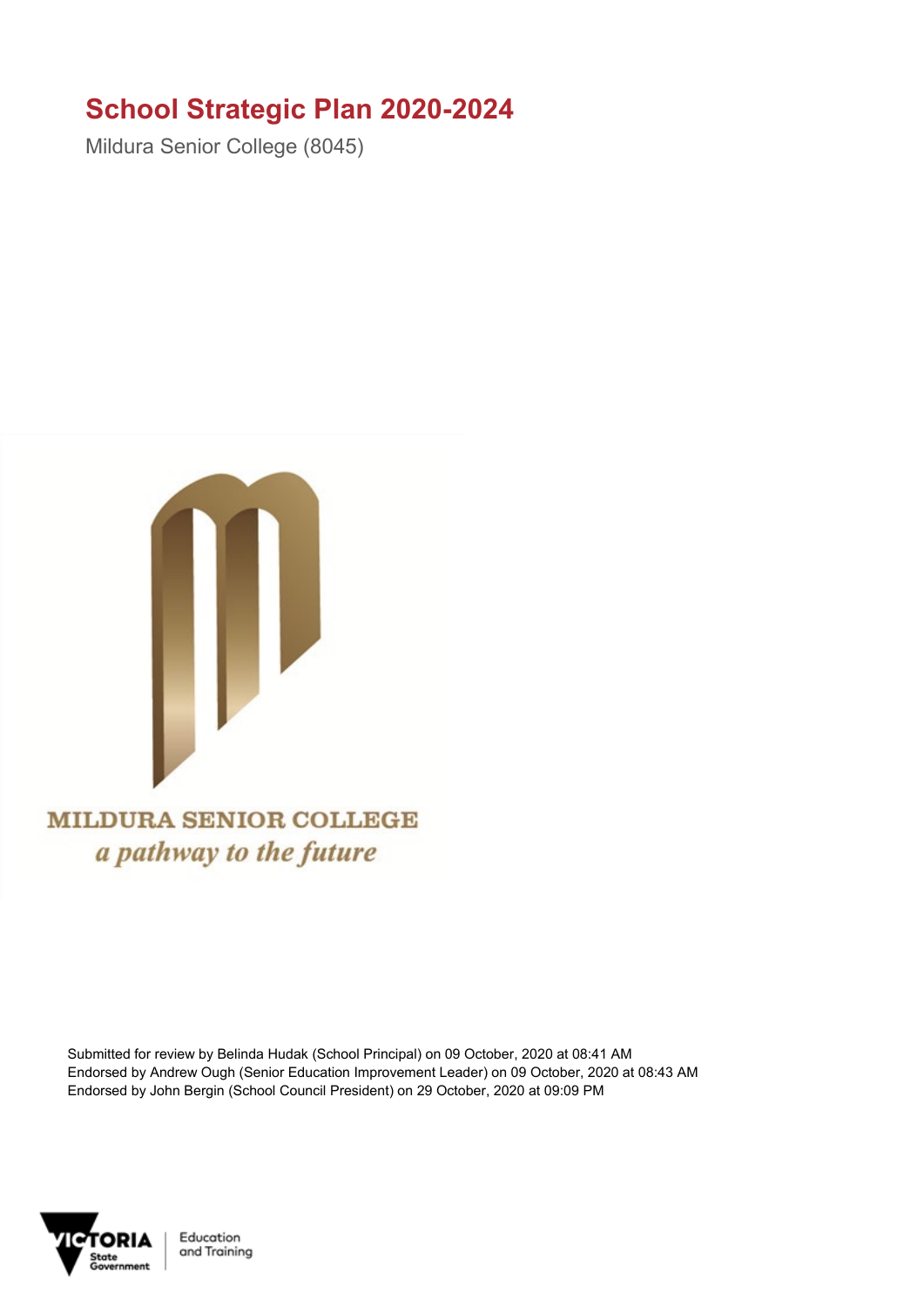## **School Strategic Plan 2020-2024**

Mildura Senior College (8045)



**MILDURA SENIOR COLLEGE** a pathway to the future

Submitted for review by Belinda Hudak (School Principal) on 09 October, 2020 at 08:41 AM Endorsed by Andrew Ough (Senior Education Improvement Leader) on 09 October, 2020 at 08:43 AM Endorsed by John Bergin (School Council President) on 29 October, 2020 at 09:09 PM



Education and Training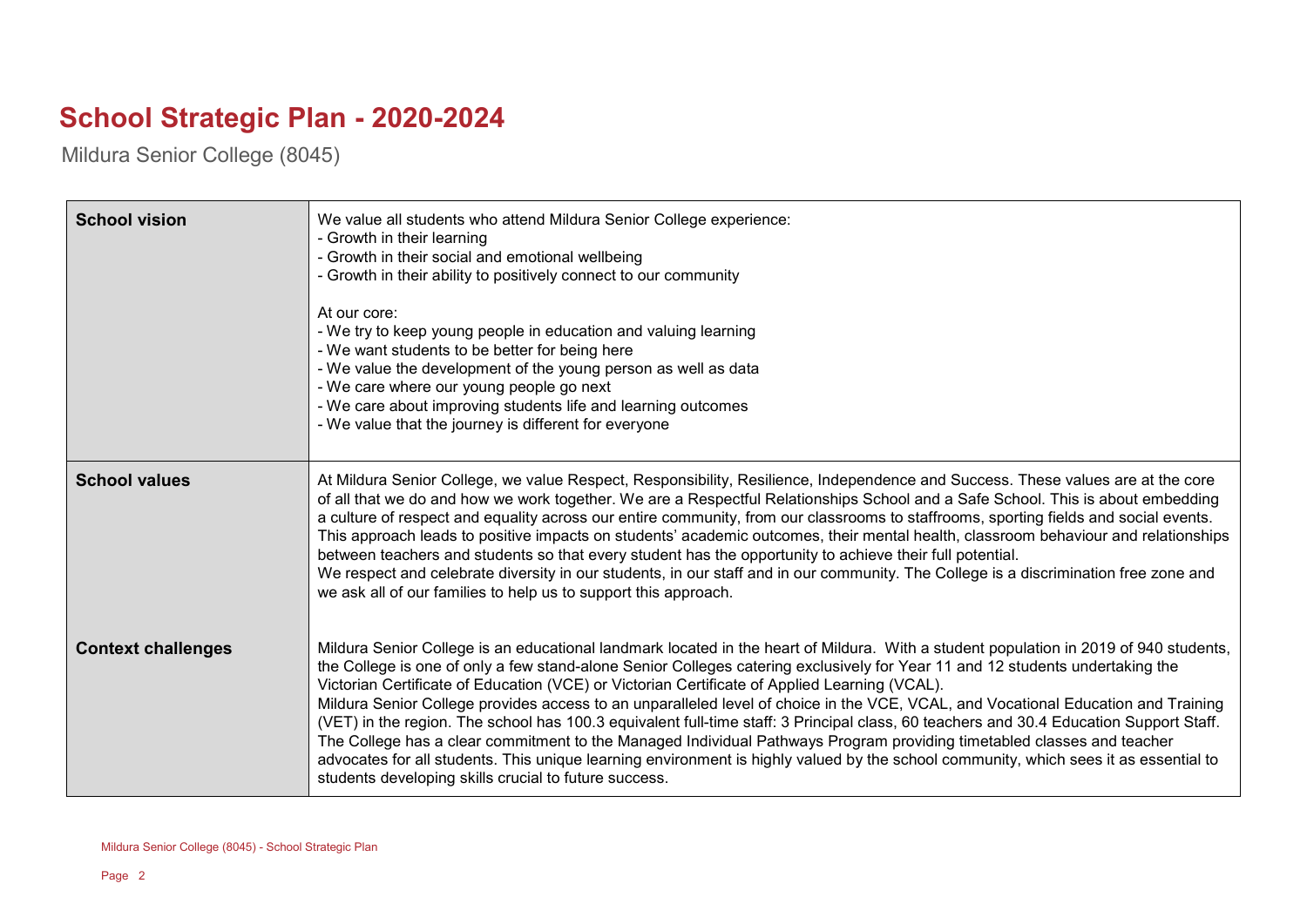## **School Strategic Plan - 2020-2024**

Mildura Senior College (8045)

| <b>School vision</b>      | We value all students who attend Mildura Senior College experience:<br>- Growth in their learning<br>- Growth in their social and emotional wellbeing<br>- Growth in their ability to positively connect to our community<br>At our core:<br>- We try to keep young people in education and valuing learning<br>- We want students to be better for being here<br>- We value the development of the young person as well as data<br>- We care where our young people go next<br>- We care about improving students life and learning outcomes<br>- We value that the journey is different for everyone                                                                                                                                                                                                                                                                                                                                                                            |
|---------------------------|-----------------------------------------------------------------------------------------------------------------------------------------------------------------------------------------------------------------------------------------------------------------------------------------------------------------------------------------------------------------------------------------------------------------------------------------------------------------------------------------------------------------------------------------------------------------------------------------------------------------------------------------------------------------------------------------------------------------------------------------------------------------------------------------------------------------------------------------------------------------------------------------------------------------------------------------------------------------------------------|
| <b>School values</b>      | At Mildura Senior College, we value Respect, Responsibility, Resilience, Independence and Success. These values are at the core<br>of all that we do and how we work together. We are a Respectful Relationships School and a Safe School. This is about embedding<br>a culture of respect and equality across our entire community, from our classrooms to staffrooms, sporting fields and social events.<br>This approach leads to positive impacts on students' academic outcomes, their mental health, classroom behaviour and relationships<br>between teachers and students so that every student has the opportunity to achieve their full potential.<br>We respect and celebrate diversity in our students, in our staff and in our community. The College is a discrimination free zone and<br>we ask all of our families to help us to support this approach.                                                                                                           |
| <b>Context challenges</b> | Mildura Senior College is an educational landmark located in the heart of Mildura. With a student population in 2019 of 940 students,<br>the College is one of only a few stand-alone Senior Colleges catering exclusively for Year 11 and 12 students undertaking the<br>Victorian Certificate of Education (VCE) or Victorian Certificate of Applied Learning (VCAL).<br>Mildura Senior College provides access to an unparalleled level of choice in the VCE, VCAL, and Vocational Education and Training<br>(VET) in the region. The school has 100.3 equivalent full-time staff: 3 Principal class, 60 teachers and 30.4 Education Support Staff.<br>The College has a clear commitment to the Managed Individual Pathways Program providing timetabled classes and teacher<br>advocates for all students. This unique learning environment is highly valued by the school community, which sees it as essential to<br>students developing skills crucial to future success. |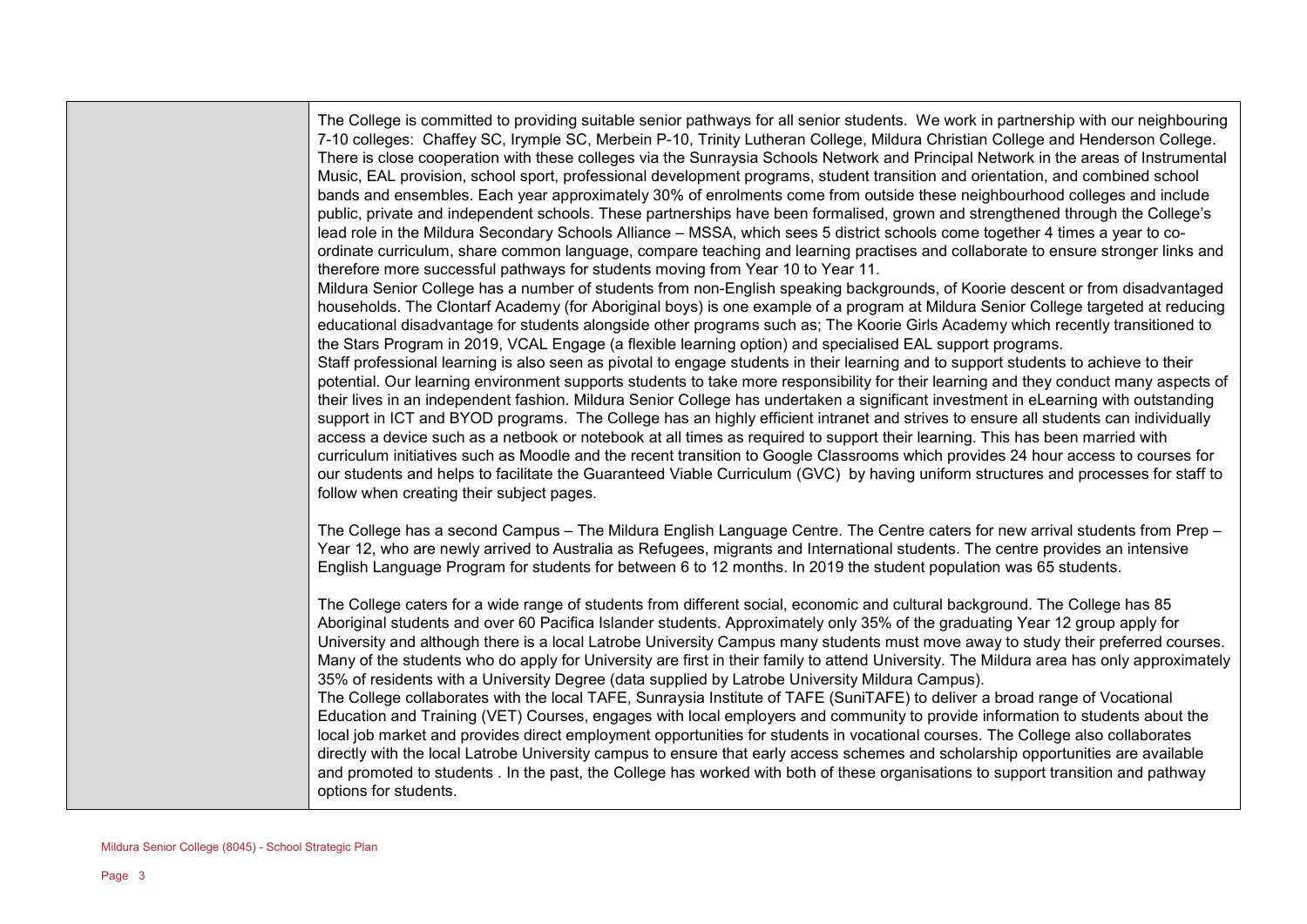The College is committed to providing suitable senior pathways for all senior students. We work in partnership with our neighbouring 7-10 colleges: Chaffey SC, Irymple SC, Merbein P-10, Trinity Lutheran College, Mildura Christian College and Henderson College. There is close cooperation with these colleges via the Sunraysia Schools Network and Principal Network in the areas of Instrumental Music, EAL provision, school sport, professional development programs, student transition and orientation, and combined school bands and ensembles. Each year approximately 30% of enrolments come from outside these neighbourhood colleges and include public, private and independent schools. These partnerships have been formalised, grown and strengthened through the College's lead role in the Mildura Secondary Schools Alliance – MSSA, which sees 5 district schools come together 4 times a year to coordinate curriculum, share common language, compare teaching and learning practises and collaborate to ensure stronger links and therefore more successful pathways for students moving from Year 10 to Year 11.

Mildura Senior College has a number of students from non-English speaking backgrounds, of Koorie descent or from disadvantaged households. The Clontarf Academy (for Aboriginal boys) is one example of a program at Mildura Senior College targeted at reducing educational disadvantage for students alongside other programs such as; The Koorie Girls Academy which recently transitioned to the Stars Program in 2019, VCAL Engage (a flexible learning option) and specialised EAL support programs.

Staff professional learning is also seen as pivotal to engage students in their learning and to support students to achieve to their potential. Our learning environment supports students to take more responsibility for their learning and they conduct many aspects of their lives in an independent fashion. Mildura Senior College has undertaken a significant investment in eLearning with outstanding support in ICT and BYOD programs. The College has an highly efficient intranet and strives to ensure all students can individually access a device such as a netbook or notebook at all times as required to support their learning. This has been married with curriculum initiatives such as Moodle and the recent transition to Google Classrooms which provides 24 hour access to courses for our students and helps to facilitate the Guaranteed Viable Curriculum (GVC) by having uniform structures and processes for staff to follow when creating their subject pages.

The College has a second Campus – The Mildura English Language Centre. The Centre caters for new arrival students from Prep – Year 12, who are newly arrived to Australia as Refugees, migrants and International students. The centre provides an intensive English Language Program for students for between 6 to 12 months. In 2019 the student population was 65 students.

The College caters for a wide range of students from different social, economic and cultural background. The College has 85 Aboriginal students and over 60 Pacifica Islander students. Approximately only 35% of the graduating Year 12 group apply for University and although there is a local Latrobe University Campus many students must move away to study their preferred courses. Many of the students who do apply for University are first in their family to attend University. The Mildura area has only approximately 35% of residents with a University Degree (data supplied by Latrobe University Mildura Campus). The College collaborates with the local TAFE, Sunraysia Institute of TAFE (SuniTAFE) to deliver a broad range of Vocational Education and Training (VET) Courses, engages with local employers and community to provide information to students about the local job market and provides direct employment opportunities for students in vocational courses. The College also collaborates directly with the local Latrobe University campus to ensure that early access schemes and scholarship opportunities are available and promoted to students . In the past, the College has worked with both of these organisations to support transition and pathway options for students.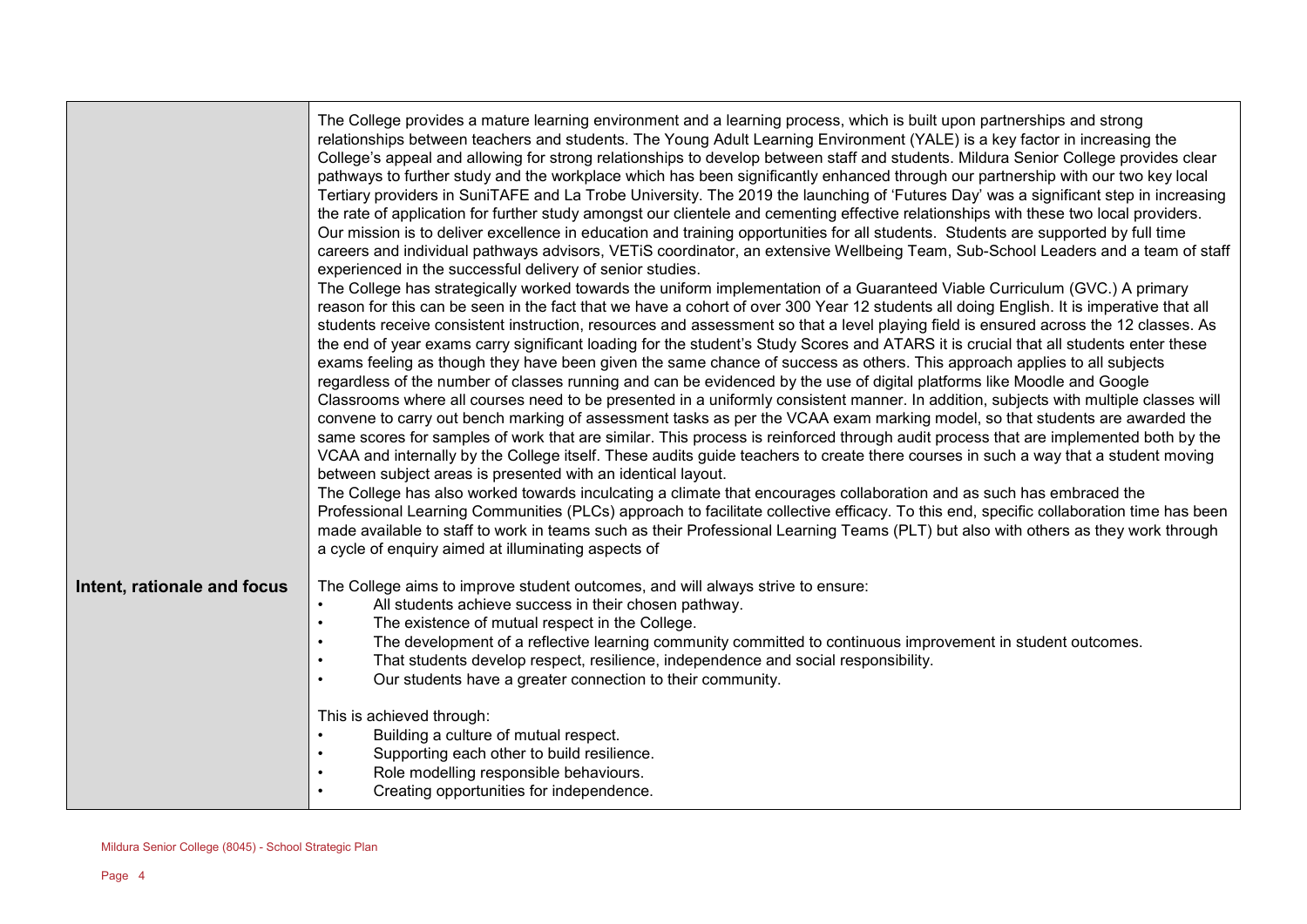|                             | The College provides a mature learning environment and a learning process, which is built upon partnerships and strong<br>relationships between teachers and students. The Young Adult Learning Environment (YALE) is a key factor in increasing the<br>College's appeal and allowing for strong relationships to develop between staff and students. Mildura Senior College provides clear<br>pathways to further study and the workplace which has been significantly enhanced through our partnership with our two key local<br>Tertiary providers in SuniTAFE and La Trobe University. The 2019 the launching of 'Futures Day' was a significant step in increasing<br>the rate of application for further study amongst our clientele and cementing effective relationships with these two local providers.<br>Our mission is to deliver excellence in education and training opportunities for all students. Students are supported by full time<br>careers and individual pathways advisors, VETiS coordinator, an extensive Wellbeing Team, Sub-School Leaders and a team of staff<br>experienced in the successful delivery of senior studies.<br>The College has strategically worked towards the uniform implementation of a Guaranteed Viable Curriculum (GVC.) A primary<br>reason for this can be seen in the fact that we have a cohort of over 300 Year 12 students all doing English. It is imperative that all<br>students receive consistent instruction, resources and assessment so that a level playing field is ensured across the 12 classes. As<br>the end of year exams carry significant loading for the student's Study Scores and ATARS it is crucial that all students enter these<br>exams feeling as though they have been given the same chance of success as others. This approach applies to all subjects<br>regardless of the number of classes running and can be evidenced by the use of digital platforms like Moodle and Google<br>Classrooms where all courses need to be presented in a uniformly consistent manner. In addition, subjects with multiple classes will<br>convene to carry out bench marking of assessment tasks as per the VCAA exam marking model, so that students are awarded the<br>same scores for samples of work that are similar. This process is reinforced through audit process that are implemented both by the<br>VCAA and internally by the College itself. These audits guide teachers to create there courses in such a way that a student moving<br>between subject areas is presented with an identical layout.<br>The College has also worked towards inculcating a climate that encourages collaboration and as such has embraced the<br>Professional Learning Communities (PLCs) approach to facilitate collective efficacy. To this end, specific collaboration time has been<br>made available to staff to work in teams such as their Professional Learning Teams (PLT) but also with others as they work through<br>a cycle of enquiry aimed at illuminating aspects of |
|-----------------------------|------------------------------------------------------------------------------------------------------------------------------------------------------------------------------------------------------------------------------------------------------------------------------------------------------------------------------------------------------------------------------------------------------------------------------------------------------------------------------------------------------------------------------------------------------------------------------------------------------------------------------------------------------------------------------------------------------------------------------------------------------------------------------------------------------------------------------------------------------------------------------------------------------------------------------------------------------------------------------------------------------------------------------------------------------------------------------------------------------------------------------------------------------------------------------------------------------------------------------------------------------------------------------------------------------------------------------------------------------------------------------------------------------------------------------------------------------------------------------------------------------------------------------------------------------------------------------------------------------------------------------------------------------------------------------------------------------------------------------------------------------------------------------------------------------------------------------------------------------------------------------------------------------------------------------------------------------------------------------------------------------------------------------------------------------------------------------------------------------------------------------------------------------------------------------------------------------------------------------------------------------------------------------------------------------------------------------------------------------------------------------------------------------------------------------------------------------------------------------------------------------------------------------------------------------------------------------------------------------------------------------------------------------------------------------------------------------------------------------------------------------------------------------------------------------------------------------------------------------------------------------------------------------------------------------------------------------------------------------------------------------------------------------------------------------------|
| Intent, rationale and focus | The College aims to improve student outcomes, and will always strive to ensure:<br>All students achieve success in their chosen pathway.<br>$\bullet$<br>The existence of mutual respect in the College.<br>$\bullet$<br>The development of a reflective learning community committed to continuous improvement in student outcomes.<br>That students develop respect, resilience, independence and social responsibility.<br>Our students have a greater connection to their community.<br>$\bullet$<br>This is achieved through:<br>Building a culture of mutual respect.<br>Supporting each other to build resilience.<br>Role modelling responsible behaviours.<br>Creating opportunities for independence.                                                                                                                                                                                                                                                                                                                                                                                                                                                                                                                                                                                                                                                                                                                                                                                                                                                                                                                                                                                                                                                                                                                                                                                                                                                                                                                                                                                                                                                                                                                                                                                                                                                                                                                                                                                                                                                                                                                                                                                                                                                                                                                                                                                                                                                                                                                                            |

<u> 1989 - Johann Stein, mars eta industrial eta industrial eta industrial eta industrial eta industrial eta in</u>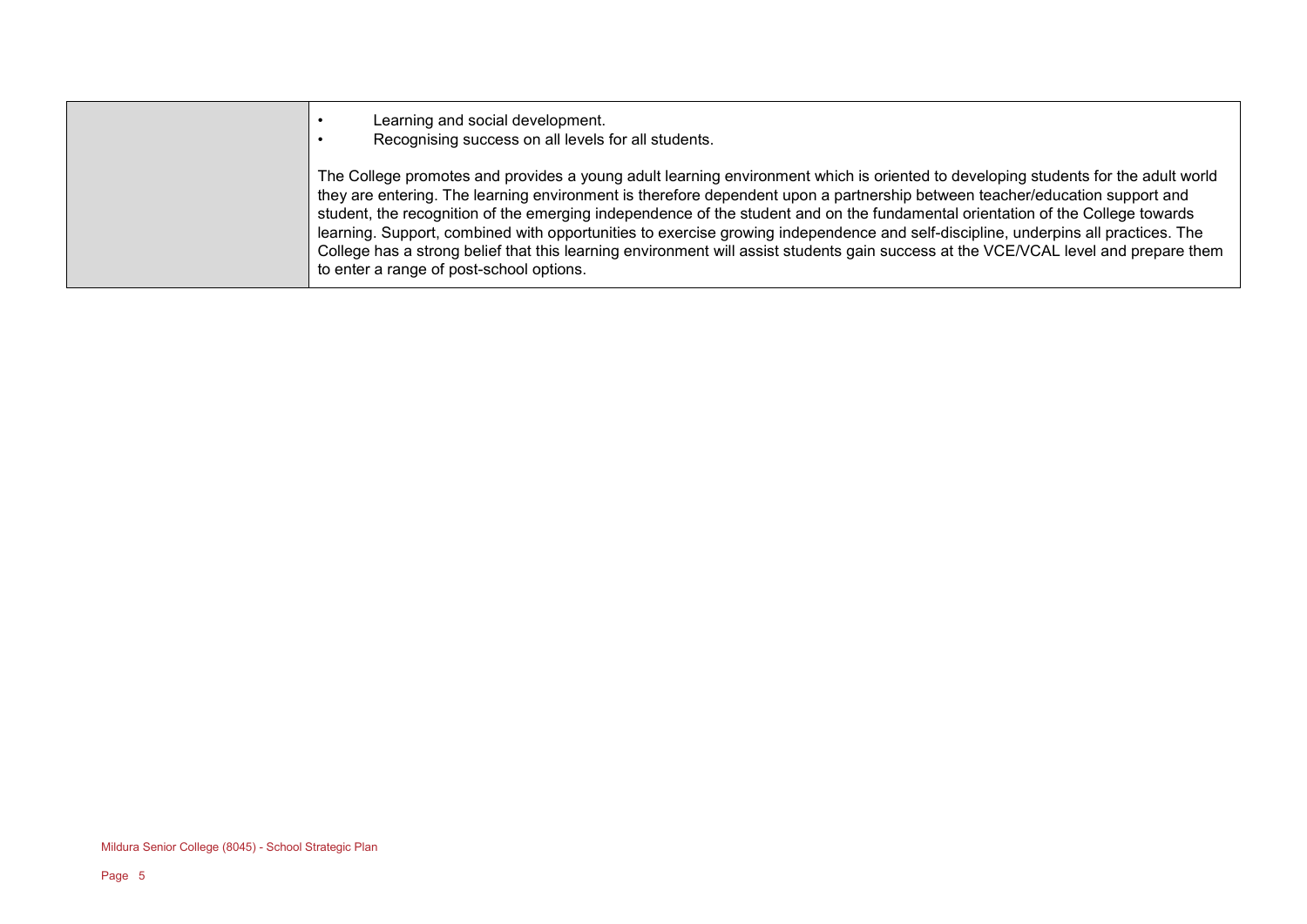- Learning and social development.
- Recognising success on all levels for all students.

The College promotes and provides a young adult learning environment which is oriented to developing students for the adult world they are entering. The learning environment is therefore dependent upon a partnership between teacher/education support and student, the recognition of the emerging independence of the student and on the fundamental orientation of the College towards learning. Support, combined with opportunities to exercise growing independence and self-discipline, underpins all practices. The College has a strong belief that this learning environment will assist students gain success at the VCE/VCAL level and prepare them to enter a range of post-school options.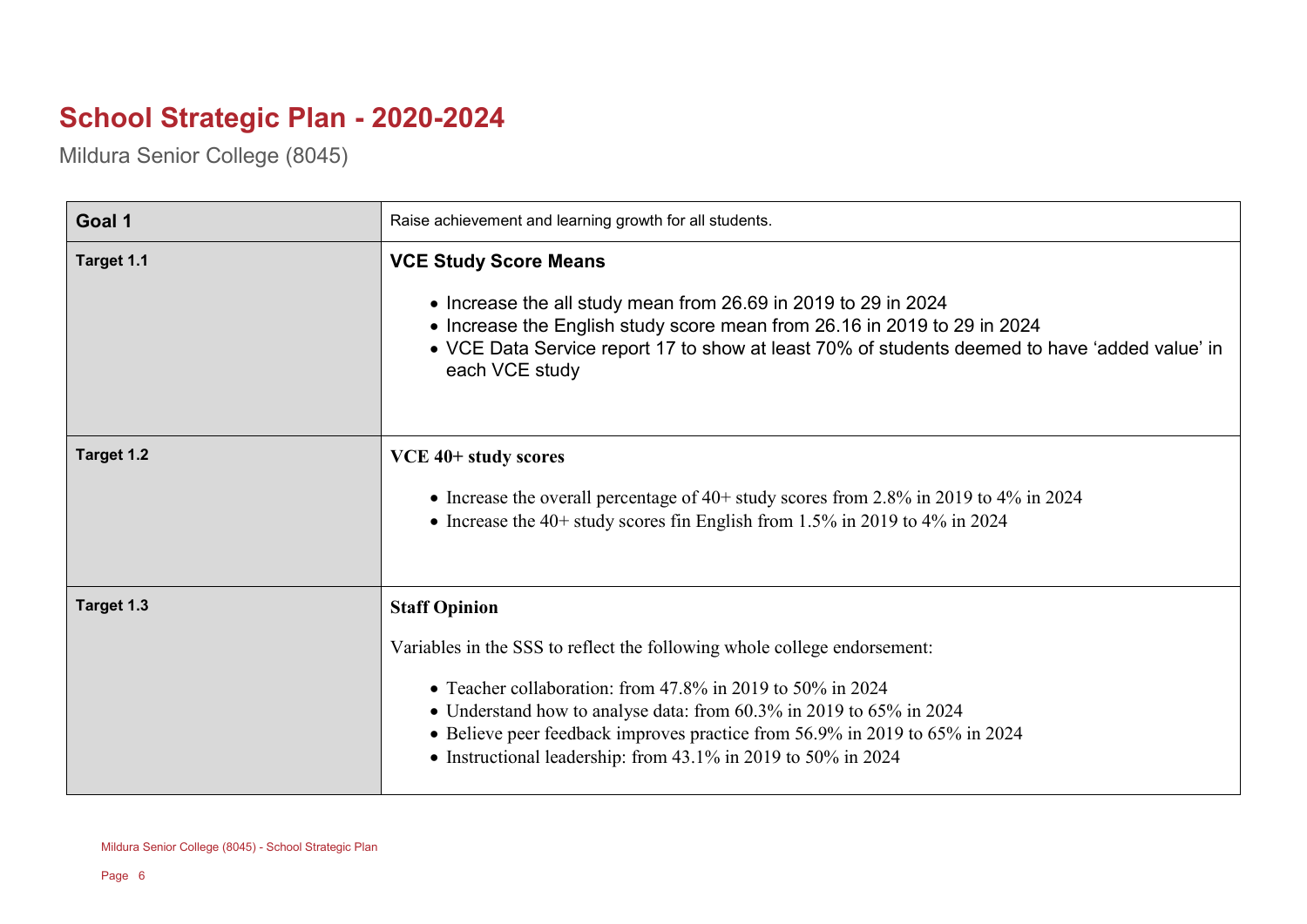## **School Strategic Plan - 2020-2024**

Mildura Senior College (8045)

| Goal 1     | Raise achievement and learning growth for all students.                                                                                                                                                                                                                                                                                                                                  |
|------------|------------------------------------------------------------------------------------------------------------------------------------------------------------------------------------------------------------------------------------------------------------------------------------------------------------------------------------------------------------------------------------------|
| Target 1.1 | <b>VCE Study Score Means</b><br>• Increase the all study mean from 26.69 in 2019 to 29 in 2024<br>• Increase the English study score mean from 26.16 in 2019 to 29 in 2024<br>• VCE Data Service report 17 to show at least 70% of students deemed to have 'added value' in<br>each VCE study                                                                                            |
| Target 1.2 | VCE 40+ study scores<br>• Increase the overall percentage of $40+$ study scores from 2.8% in 2019 to 4% in 2024<br>• Increase the 40+ study scores fin English from 1.5% in 2019 to 4% in 2024                                                                                                                                                                                           |
| Target 1.3 | <b>Staff Opinion</b><br>Variables in the SSS to reflect the following whole college endorsement:<br>• Teacher collaboration: from $47.8\%$ in 2019 to 50% in 2024<br>• Understand how to analyse data: from 60.3% in 2019 to 65% in 2024<br>• Believe peer feedback improves practice from 56.9% in 2019 to 65% in 2024<br>• Instructional leadership: from 43.1% in 2019 to 50% in 2024 |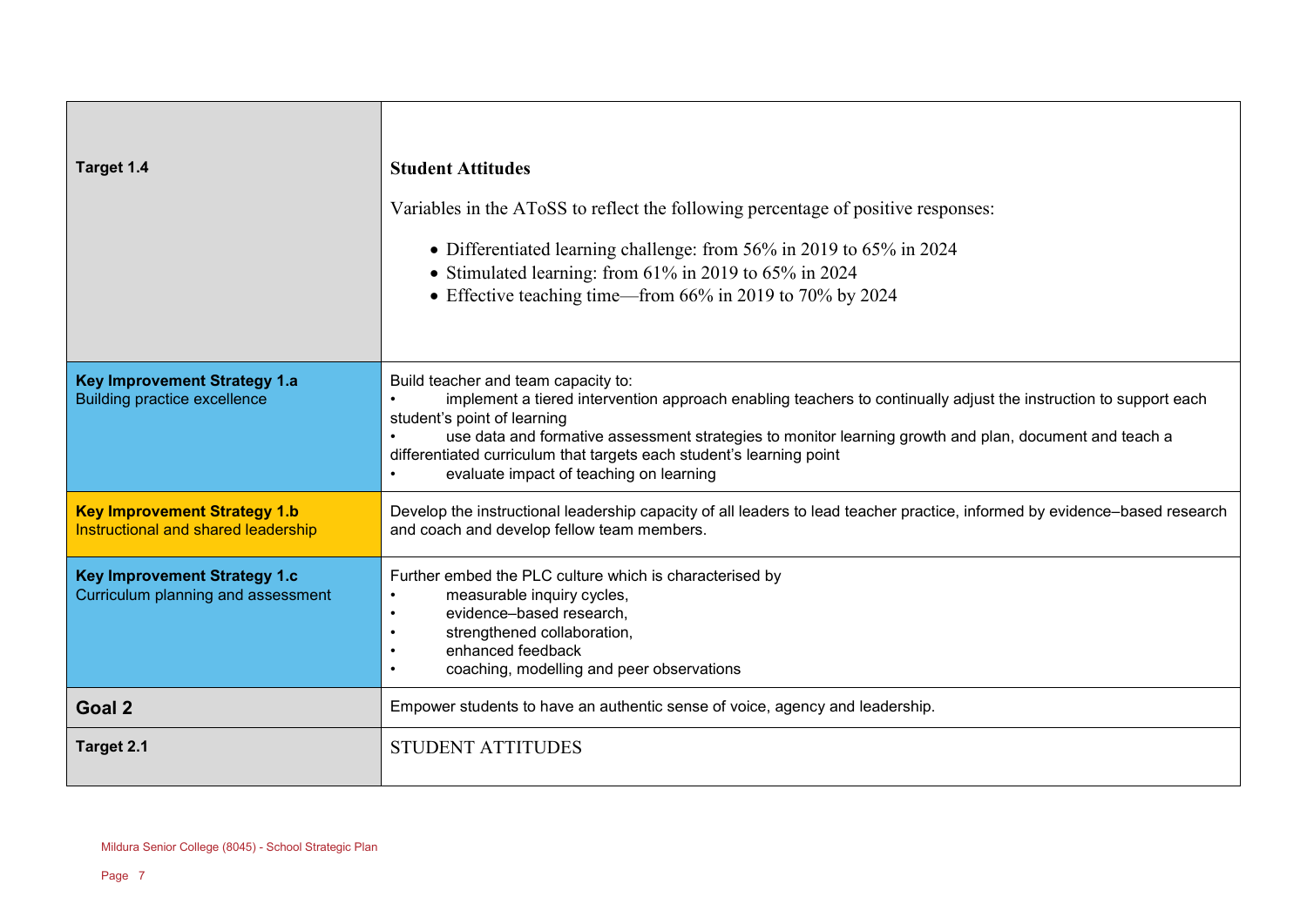| Target 1.4                                                                       | <b>Student Attitudes</b><br>Variables in the AToSS to reflect the following percentage of positive responses:<br>• Differentiated learning challenge: from 56% in 2019 to 65% in 2024<br>• Stimulated learning: from 61% in 2019 to 65% in 2024<br>• Effective teaching time—from 66% in 2019 to 70% by 2024                                                                                                        |
|----------------------------------------------------------------------------------|---------------------------------------------------------------------------------------------------------------------------------------------------------------------------------------------------------------------------------------------------------------------------------------------------------------------------------------------------------------------------------------------------------------------|
| <b>Key Improvement Strategy 1.a</b><br><b>Building practice excellence</b>       | Build teacher and team capacity to:<br>implement a tiered intervention approach enabling teachers to continually adjust the instruction to support each<br>student's point of learning<br>use data and formative assessment strategies to monitor learning growth and plan, document and teach a<br>differentiated curriculum that targets each student's learning point<br>evaluate impact of teaching on learning |
| <b>Key Improvement Strategy 1.b</b><br>Instructional and shared leadership       | Develop the instructional leadership capacity of all leaders to lead teacher practice, informed by evidence-based research<br>and coach and develop fellow team members.                                                                                                                                                                                                                                            |
| <b>Key Improvement Strategy 1.c</b><br><b>Curriculum planning and assessment</b> | Further embed the PLC culture which is characterised by<br>measurable inquiry cycles,<br>evidence-based research,<br>strengthened collaboration,<br>enhanced feedback<br>coaching, modelling and peer observations                                                                                                                                                                                                  |
| Goal <sub>2</sub>                                                                | Empower students to have an authentic sense of voice, agency and leadership.                                                                                                                                                                                                                                                                                                                                        |
| Target 2.1                                                                       | <b>STUDENT ATTITUDES</b>                                                                                                                                                                                                                                                                                                                                                                                            |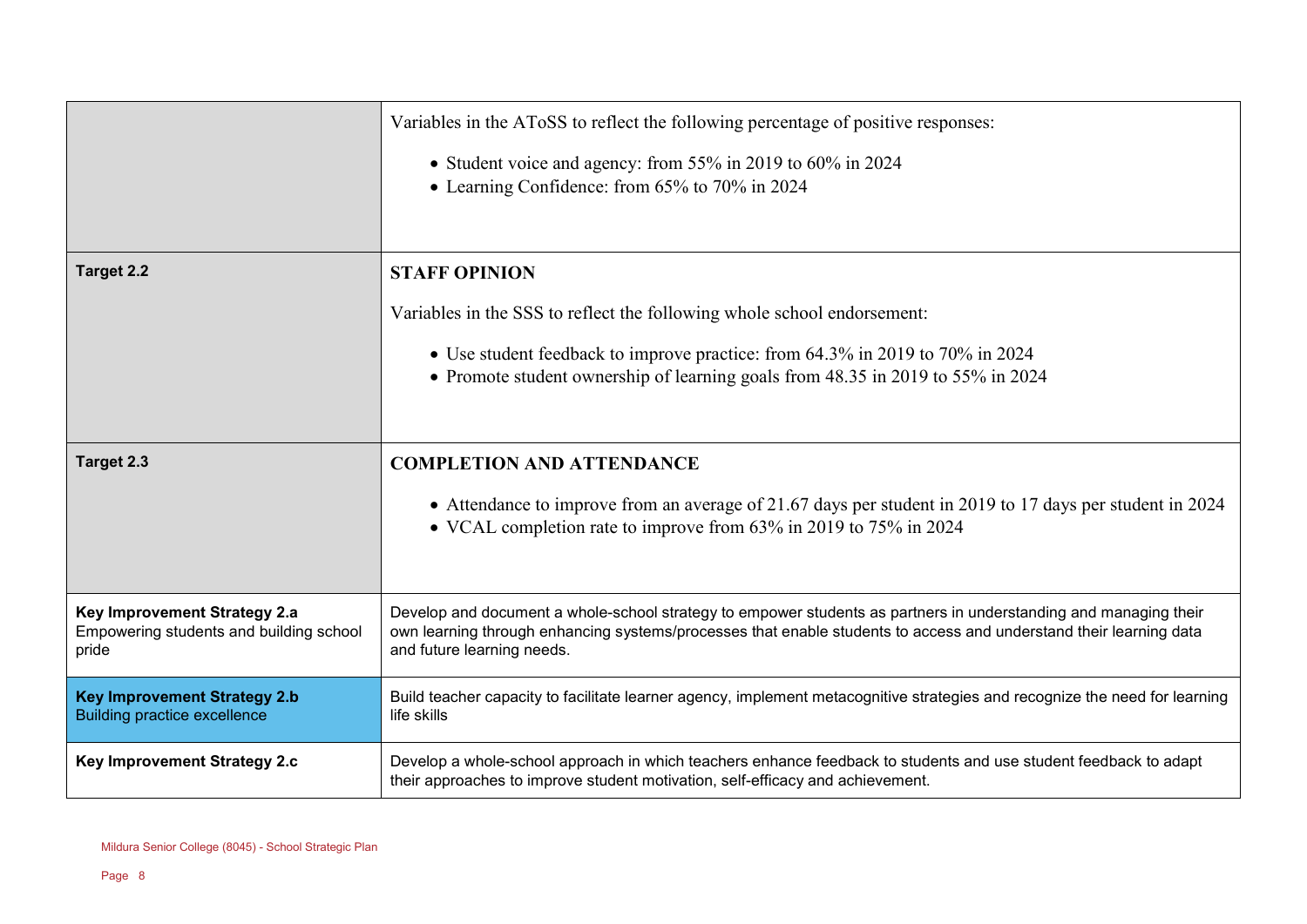|                                                                                  | Variables in the AToSS to reflect the following percentage of positive responses:                                                                                                                                                                                    |
|----------------------------------------------------------------------------------|----------------------------------------------------------------------------------------------------------------------------------------------------------------------------------------------------------------------------------------------------------------------|
|                                                                                  | • Student voice and agency: from 55% in 2019 to 60% in 2024<br>• Learning Confidence: from 65% to 70% in 2024                                                                                                                                                        |
| Target 2.2                                                                       | <b>STAFF OPINION</b>                                                                                                                                                                                                                                                 |
|                                                                                  | Variables in the SSS to reflect the following whole school endorsement:                                                                                                                                                                                              |
|                                                                                  | • Use student feedback to improve practice: from 64.3% in 2019 to 70% in 2024                                                                                                                                                                                        |
|                                                                                  | • Promote student ownership of learning goals from 48.35 in 2019 to 55% in 2024                                                                                                                                                                                      |
| Target 2.3                                                                       | <b>COMPLETION AND ATTENDANCE</b>                                                                                                                                                                                                                                     |
|                                                                                  | • Attendance to improve from an average of 21.67 days per student in 2019 to 17 days per student in 2024<br>• VCAL completion rate to improve from 63% in 2019 to 75% in 2024                                                                                        |
| Key Improvement Strategy 2.a<br>Empowering students and building school<br>pride | Develop and document a whole-school strategy to empower students as partners in understanding and managing their<br>own learning through enhancing systems/processes that enable students to access and understand their learning data<br>and future learning needs. |
| <b>Key Improvement Strategy 2.b</b><br><b>Building practice excellence</b>       | Build teacher capacity to facilitate learner agency, implement metacognitive strategies and recognize the need for learning<br>life skills                                                                                                                           |
| Key Improvement Strategy 2.c                                                     | Develop a whole-school approach in which teachers enhance feedback to students and use student feedback to adapt<br>their approaches to improve student motivation, self-efficacy and achievement.                                                                   |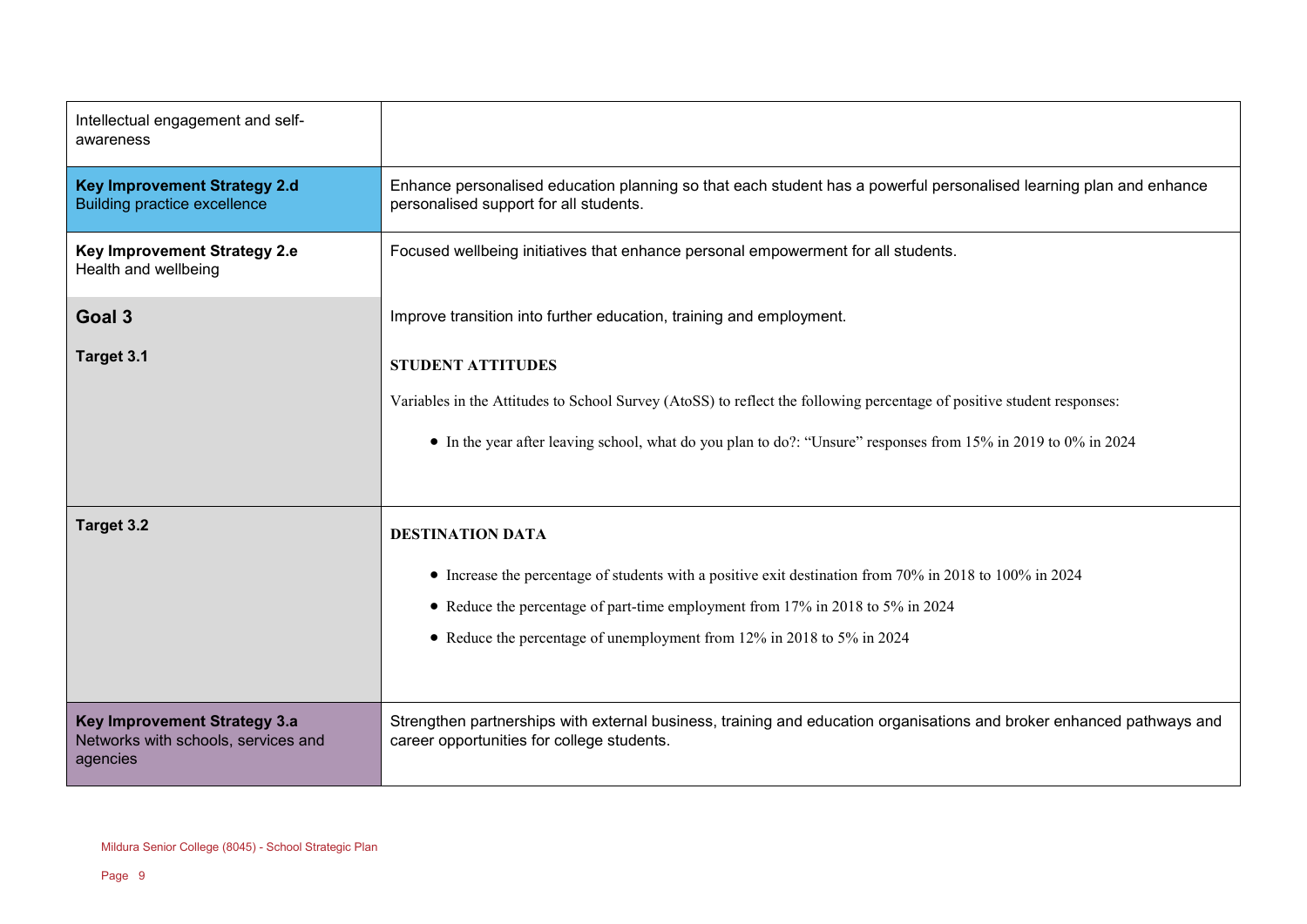| Intellectual engagement and self-<br>awareness                                  |                                                                                                                                                                                                                                                                                                |
|---------------------------------------------------------------------------------|------------------------------------------------------------------------------------------------------------------------------------------------------------------------------------------------------------------------------------------------------------------------------------------------|
| <b>Key Improvement Strategy 2.d</b><br><b>Building practice excellence</b>      | Enhance personalised education planning so that each student has a powerful personalised learning plan and enhance<br>personalised support for all students.                                                                                                                                   |
| Key Improvement Strategy 2.e<br>Health and wellbeing                            | Focused wellbeing initiatives that enhance personal empowerment for all students.                                                                                                                                                                                                              |
| Goal <sub>3</sub>                                                               | Improve transition into further education, training and employment.                                                                                                                                                                                                                            |
| Target 3.1                                                                      | <b>STUDENT ATTITUDES</b><br>Variables in the Attitudes to School Survey (AtoSS) to reflect the following percentage of positive student responses:<br>• In the year after leaving school, what do you plan to do?: "Unsure" responses from 15% in 2019 to 0% in 2024                           |
| Target 3.2                                                                      | <b>DESTINATION DATA</b><br>• Increase the percentage of students with a positive exit destination from 70% in 2018 to 100% in 2024<br>• Reduce the percentage of part-time employment from 17% in 2018 to 5% in 2024<br>• Reduce the percentage of unemployment from 12% in 2018 to 5% in 2024 |
| Key Improvement Strategy 3.a<br>Networks with schools, services and<br>agencies | Strengthen partnerships with external business, training and education organisations and broker enhanced pathways and<br>career opportunities for college students.                                                                                                                            |